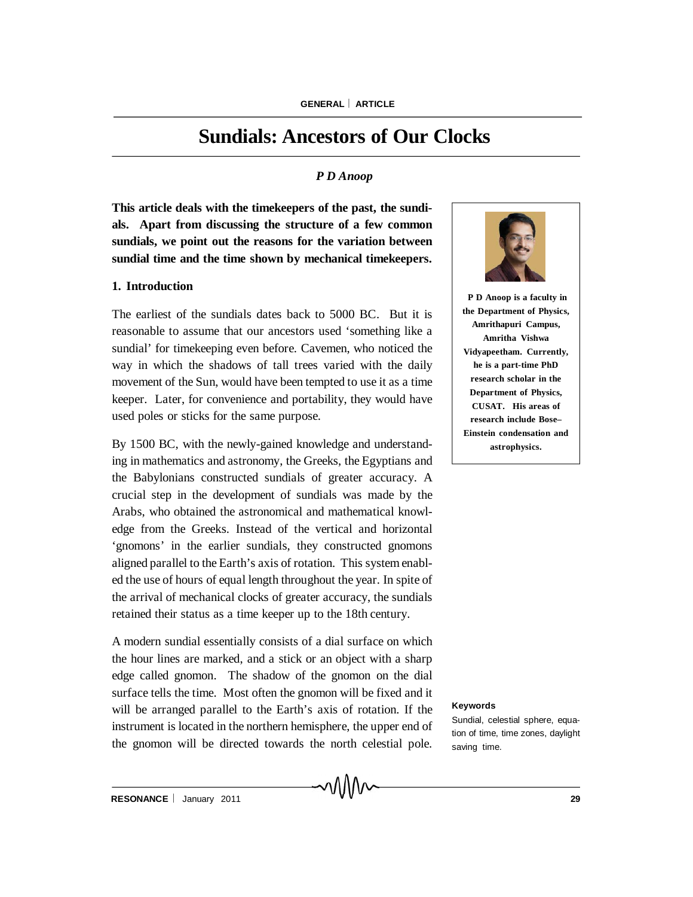# **Sundials: Ancestors of Our Clocks**

## *P D Anoop*

**This article deals with the timekeepers of the past, the sundials. Apart from discussing the structure of a few common sundials, we point out the reasons for the variation between sundial time and the time shown by mechanical timekeepers.**

#### **1. Introduction**

The earliest of the sundials dates back to 5000 BC. But it is reasonable to assume that our ancestors used 'something like a sundial' for timekeeping even before. Cavemen, who noticed the way in which the shadows of tall trees varied with the daily movement of the Sun, would have been tempted to use it as a time keeper. Later, for convenience and portability, they would have used poles or sticks for the same purpose.

By 1500 BC, with the newly-gained knowledge and understanding in mathematics and astronomy, the Greeks, the Egyptians and the Babylonians constructed sundials of greater accuracy. A crucial step in the development of sundials was made by the Arabs, who obtained the astronomical and mathematical knowledge from the Greeks. Instead of the vertical and horizontal 'gnomons' in the earlier sundials, they constructed gnomons aligned parallel to the Earth's axis of rotation. This system enabled the use of hours of equal length throughout the year. In spite of the arrival of mechanical clocks of greater accuracy, the sundials retained their status as a time keeper up to the 18th century.

A modern sundial essentially consists of a dial surface on which the hour lines are marked, and a stick or an object with a sharp edge called gnomon. The shadow of the gnomon on the dial surface tells the time. Most often the gnomon will be fixed and it will be arranged parallel to the Earth's axis of rotation. If the instrument is located in the northern hemisphere, the upper end of the gnomon will be directed towards the north celestial pole.

MMW



**P D Anoop is a faculty in the Department of Physics, Amrithapuri Campus, Amritha Vishwa Vidyapeetham. Currently, he is a part-time PhD research scholar in the Department of Physics, CUSAT. His areas of research include Bose– Einstein condensation and astrophysics.**

#### **Keywords**

Sundial, celestial sphere, equation of time, time zones, daylight saving time.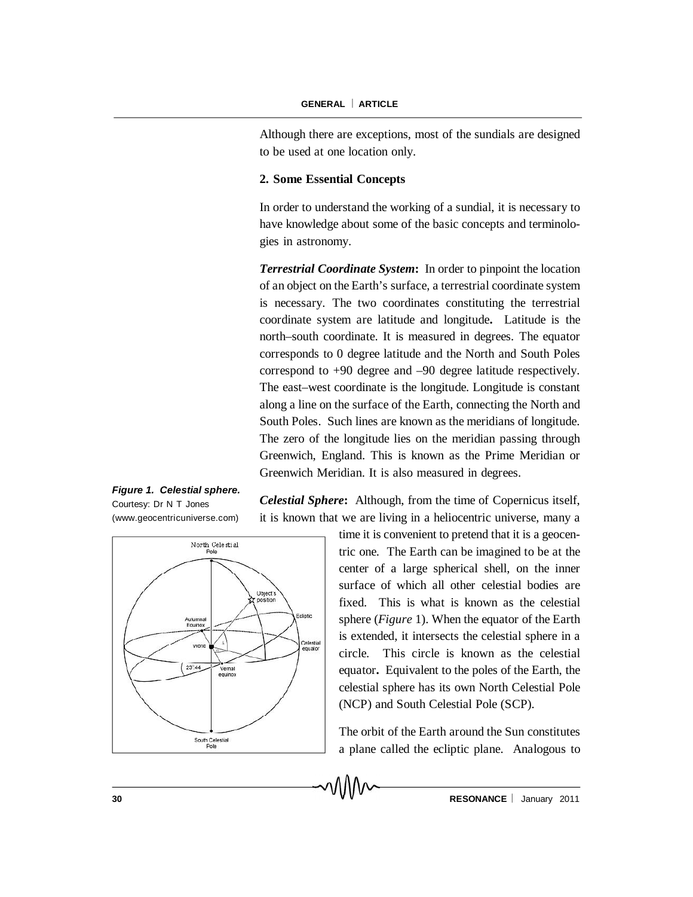Although there are exceptions, most of the sundials are designed to be used at one location only.

## **2. Some Essential Concepts**

In order to understand the working of a sundial, it is necessary to have knowledge about some of the basic concepts and terminologies in astronomy.

*Terrestrial Coordinate System***:** In order to pinpoint the location of an object on the Earth's surface, a terrestrial coordinate system is necessary. The two coordinates constituting the terrestrial coordinate system are latitude and longitude**.** Latitude is the north–south coordinate. It is measured in degrees. The equator corresponds to 0 degree latitude and the North and South Poles correspond to +90 degree and –90 degree latitude respectively. The east–west coordinate is the longitude. Longitude is constant along a line on the surface of the Earth, connecting the North and South Poles. Such lines are known as the meridians of longitude. The zero of the longitude lies on the meridian passing through Greenwich, England. This is known as the Prime Meridian or Greenwich Meridian. It is also measured in degrees.

*Figure 1. Celestial sphere.* Courtesy: Dr N T Jones (www.geocentricuniverse.com)



*Celestial Sphere***:** Although, from the time of Copernicus itself, it is known that we are living in a heliocentric universe, many a

> time it is convenient to pretend that it is a geocentric one. The Earth can be imagined to be at the center of a large spherical shell, on the inner surface of which all other celestial bodies are fixed. This is what is known as the celestial sphere (*Figure* 1). When the equator of the Earth is extended, it intersects the celestial sphere in a circle. This circle is known as the celestial equator**.** Equivalent to the poles of the Earth, the celestial sphere has its own North Celestial Pole (NCP) and South Celestial Pole (SCP).

> The orbit of the Earth around the Sun constitutes a plane called the ecliptic plane. Analogous to

۸۸۸۸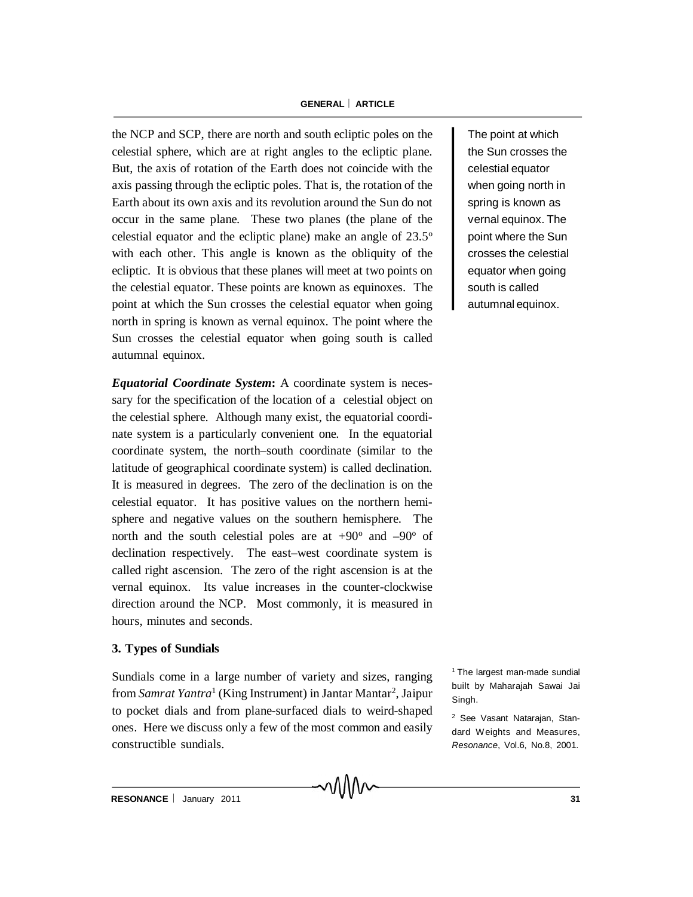## **GENERAL ARTICLE**

the NCP and SCP, there are north and south ecliptic poles on the celestial sphere, which are at right angles to the ecliptic plane. But, the axis of rotation of the Earth does not coincide with the axis passing through the ecliptic poles. That is, the rotation of the Earth about its own axis and its revolution around the Sun do not occur in the same plane. These two planes (the plane of the celestial equator and the ecliptic plane) make an angle of 23.5<sup>o</sup> with each other. This angle is known as the obliquity of the ecliptic. It is obvious that these planes will meet at two points on the celestial equator. These points are known as equinoxes. The point at which the Sun crosses the celestial equator when going north in spring is known as vernal equinox. The point where the Sun crosses the celestial equator when going south is called autumnal equinox.

*Equatorial Coordinate System***:** A coordinate system is necessary for the specification of the location of a celestial object on the celestial sphere. Although many exist, the equatorial coordinate system is a particularly convenient one. In the equatorial coordinate system, the north–south coordinate (similar to the latitude of geographical coordinate system) is called declination*.* It is measured in degrees. The zero of the declination is on the celestial equator. It has positive values on the northern hemisphere and negative values on the southern hemisphere. The north and the south celestial poles are at  $+90^{\circ}$  and  $-90^{\circ}$  of declination respectively. The east–west coordinate system is called right ascension. The zero of the right ascension is at the vernal equinox. Its value increases in the counter-clockwise direction around the NCP. Most commonly, it is measured in hours, minutes and seconds.

## **3. Types of Sundials**

Sundials come in a large number of variety and sizes, ranging from *Samrat Yantra*<sup>1</sup> (King Instrument) in Jantar Mantar<sup>2</sup>, Jaipur to pocket dials and from plane-surfaced dials to weird-shaped ones. Here we discuss only a few of the most common and easily constructible sundials.

℩⅄℩℩℩

The point at which the Sun crosses the celestial equator when going north in spring is known as vernal equinox. The point where the Sun crosses the celestial equator when going south is called autumnal equinox.

<sup>1</sup> The largest man-made sundial built by Maharajah Sawai Jai Singh.

<sup>2</sup> See Vasant Natarajan, Standard Weights and Measures, *Resonance*, Vol.6, No.8, 2001.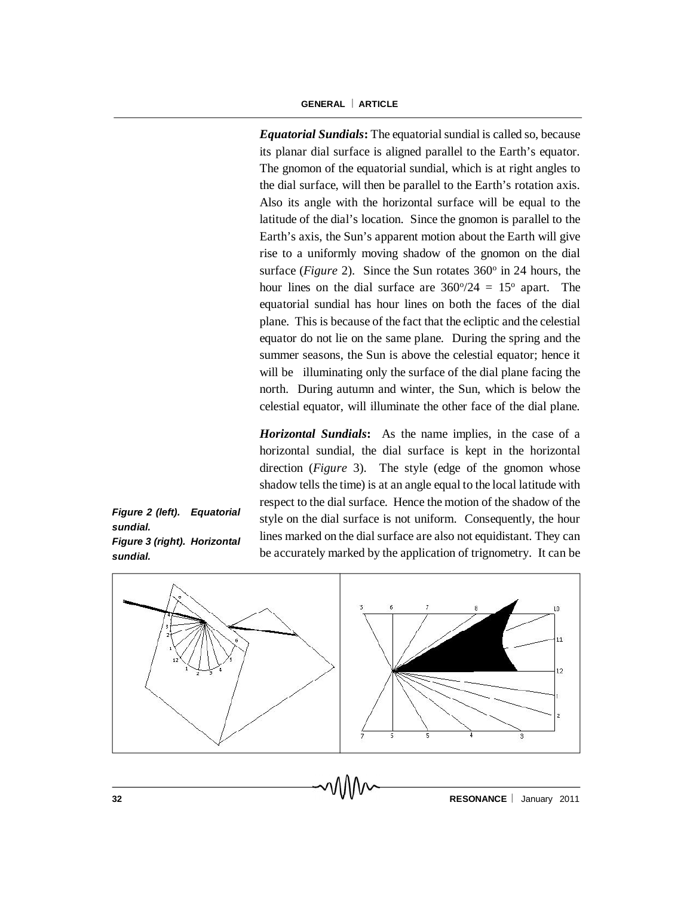*Equatorial Sundials***:** The equatorial sundial is called so, because its planar dial surface is aligned parallel to the Earth's equator. The gnomon of the equatorial sundial, which is at right angles to the dial surface, will then be parallel to the Earth's rotation axis. Also its angle with the horizontal surface will be equal to the latitude of the dial's location. Since the gnomon is parallel to the Earth's axis, the Sun's apparent motion about the Earth will give rise to a uniformly moving shadow of the gnomon on the dial surface (*Figure* 2). Since the Sun rotates 360<sup>°</sup> in 24 hours, the hour lines on the dial surface are  $360\frac{\textdegree}{24} = 15\frac{\textdegree}{24}$  apart. The equatorial sundial has hour lines on both the faces of the dial plane. This is because of the fact that the ecliptic and the celestial equator do not lie on the same plane. During the spring and the summer seasons, the Sun is above the celestial equator; hence it will be illuminating only the surface of the dial plane facing the north. During autumn and winter, the Sun, which is below the celestial equator, will illuminate the other face of the dial plane.

*Horizontal Sundials***:** As the name implies, in the case of a horizontal sundial, the dial surface is kept in the horizontal direction (*Figure* 3). The style (edge of the gnomon whose shadow tells the time) is at an angle equal to the local latitude with respect to the dial surface. Hence the motion of the shadow of the style on the dial surface is not uniform. Consequently, the hour lines marked on the dial surface are also not equidistant. They can be accurately marked by the application of trignometry. It can be



**32 RESONANCE I** January 2011

*Figure 2 (left). Equatorial sundial. Figure 3 (right). Horizontal sundial.*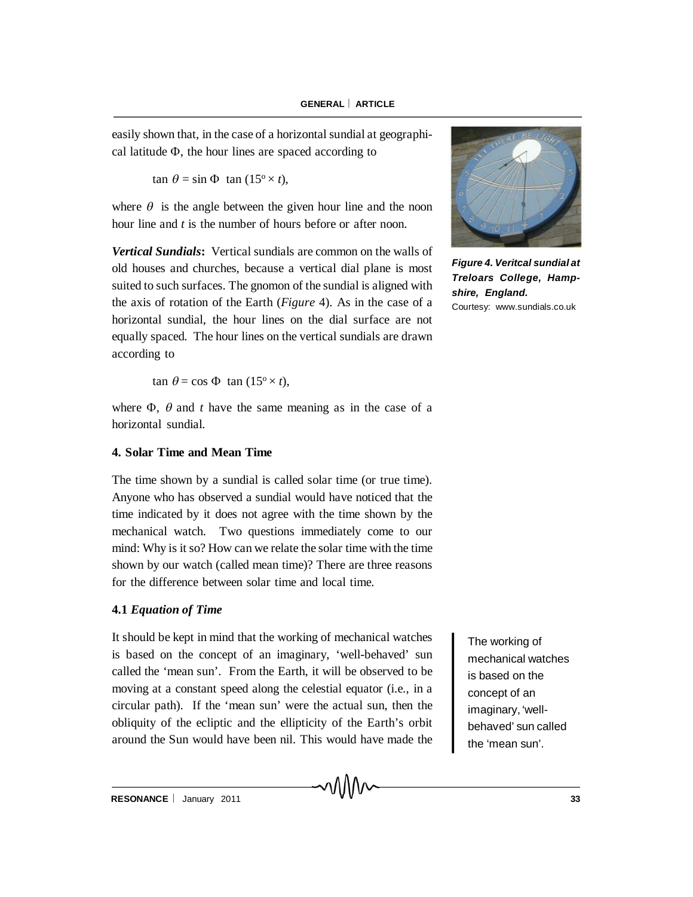easily shown that, in the case of a horizontal sundial at geographical latitude  $\Phi$ , the hour lines are spaced according to

 $\tan \theta = \sin \Phi \tan (15^\circ \times t),$ 

where  $\theta$  is the angle between the given hour line and the noon hour line and *t* is the number of hours before or after noon.

*Vertical Sundials***:** Vertical sundials are common on the walls of old houses and churches, because a vertical dial plane is most suited to such surfaces. The gnomon of the sundial is aligned with the axis of rotation of the Earth (*Figure* 4). As in the case of a horizontal sundial, the hour lines on the dial surface are not equally spaced. The hour lines on the vertical sundials are drawn according to

 $\tan \theta = \cos \Phi \tan (15^\circ \times t),$ 

where  $\Phi$ ,  $\theta$  and *t* have the same meaning as in the case of a horizontal sundial.

## **4. Solar Time and Mean Time**

The time shown by a sundial is called solar time (or true time). Anyone who has observed a sundial would have noticed that the time indicated by it does not agree with the time shown by the mechanical watch. Two questions immediately come to our mind: Why is it so? How can we relate the solar time with the time shown by our watch (called mean time)? There are three reasons for the difference between solar time and local time.

## **4.1** *Equation of Time*

It should be kept in mind that the working of mechanical watches is based on the concept of an imaginary, 'well-behaved' sun called the 'mean sun'. From the Earth, it will be observed to be moving at a constant speed along the celestial equator (i.e., in a circular path). If the 'mean sun' were the actual sun, then the obliquity of the ecliptic and the ellipticity of the Earth's orbit around the Sun would have been nil. This would have made the

MM

The working of mechanical watches is based on the concept of an imaginary, 'wellbehaved' sun called the 'mean sun'.



*Figure 4. Veritcal sundial at Treloars College, Hampshire, England.* Courtesy: www.sundials.co.uk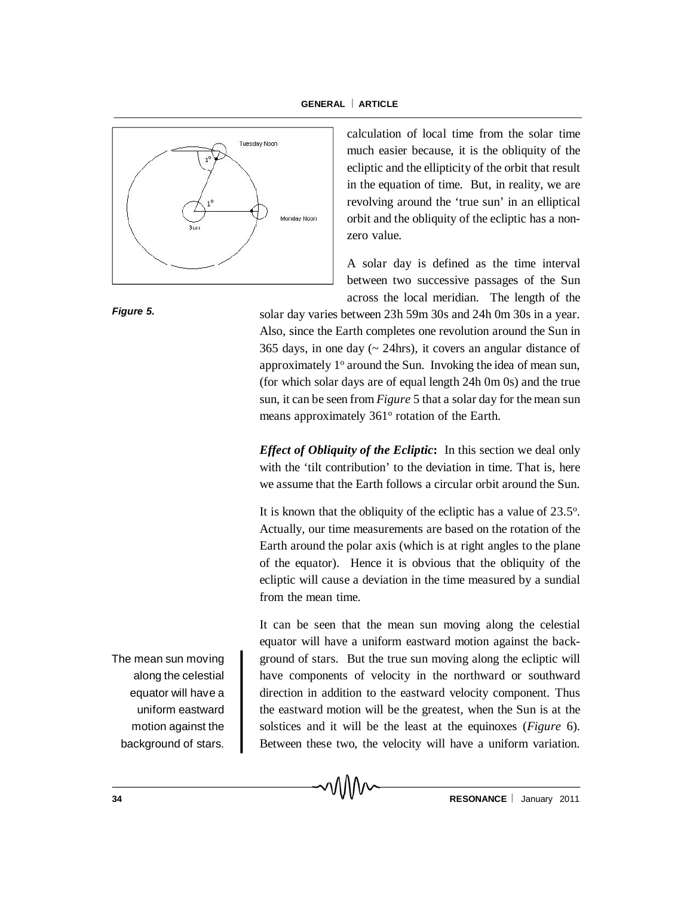

calculation of local time from the solar time much easier because, it is the obliquity of the ecliptic and the ellipticity of the orbit that result in the equation of time. But, in reality, we are revolving around the 'true sun' in an elliptical orbit and the obliquity of the ecliptic has a nonzero value.

A solar day is defined as the time interval between two successive passages of the Sun across the local meridian. The length of the

solar day varies between 23h 59m 30s and 24h 0m 30s in a year. Also, since the Earth completes one revolution around the Sun in 365 days, in one day  $($   $\sim$  24hrs), it covers an angular distance of approximately  $1^\circ$  around the Sun. Invoking the idea of mean sun, (for which solar days are of equal length 24h 0m 0s) and the true sun, it can be seen from *Figure* 5 that a solar day for the mean sun means approximately 361° rotation of the Earth.

*Effect of Obliquity of the Ecliptic***:** In this section we deal only with the 'tilt contribution' to the deviation in time. That is, here we assume that the Earth follows a circular orbit around the Sun.

It is known that the obliquity of the ecliptic has a value of  $23.5^\circ$ . Actually, our time measurements are based on the rotation of the Earth around the polar axis (which is at right angles to the plane of the equator). Hence it is obvious that the obliquity of the ecliptic will cause a deviation in the time measured by a sundial from the mean time.

It can be seen that the mean sun moving along the celestial equator will have a uniform eastward motion against the background of stars. But the true sun moving along the ecliptic will have components of velocity in the northward or southward direction in addition to the eastward velocity component. Thus the eastward motion will be the greatest, when the Sun is at the solstices and it will be the least at the equinoxes (*Figure* 6). Between these two, the velocity will have a uniform variation.

า∖∖∖∨∽

The mean sun moving along the celestial equator will have a uniform eastward motion against the background of stars.

**34 RESONANCE I** January 2011

*Figure 5.*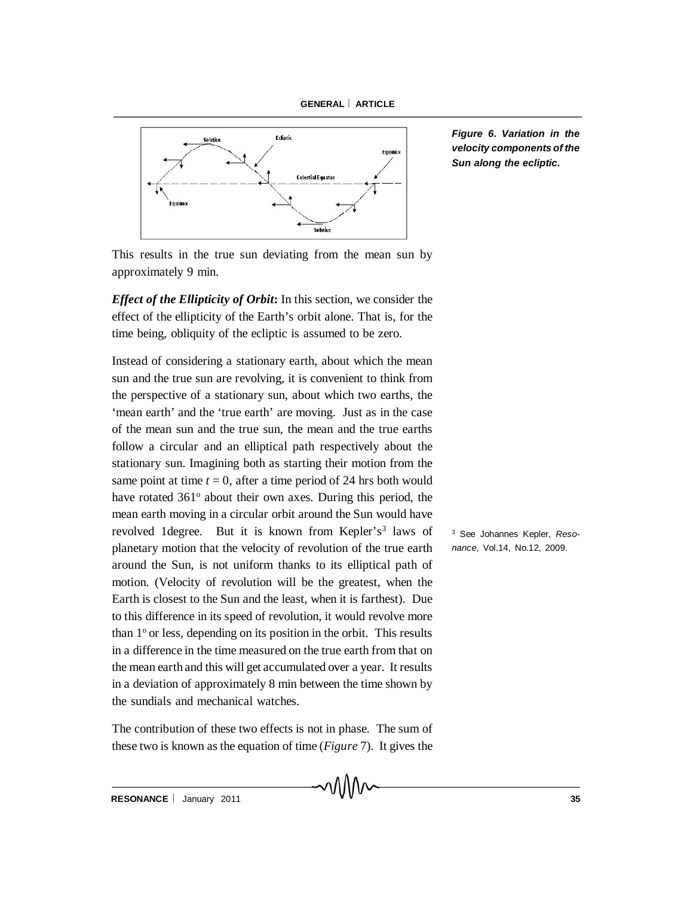



*Figure 6. Variation in the velocity components of the Sun along the ecliptic.*

This results in the true sun deviating from the mean sun by approximately 9 min.

*Effect of the Ellipticity of Orbit***:** In this section, we consider the effect of the ellipticity of the Earth's orbit alone. That is, for the time being, obliquity of the ecliptic is assumed to be zero.

Instead of considering a stationary earth, about which the mean sun and the true sun are revolving, it is convenient to think from the perspective of a stationary sun, about which two earths, the 'mean earth' and the 'true earth' are moving. Just as in the case of the mean sun and the true sun, the mean and the true earths follow a circular and an elliptical path respectively about the stationary sun. Imagining both as starting their motion from the same point at time  $t = 0$ , after a time period of 24 hrs both would have rotated 361<sup>°</sup> about their own axes. During this period, the mean earth moving in a circular orbit around the Sun would have revolved 1 degree. But it is known from Kepler's<sup>3</sup> laws of <sup>3</sup> planetary motion that the velocity of revolution of the true earth around the Sun, is not uniform thanks to its elliptical path of motion. (Velocity of revolution will be the greatest, when the Earth is closest to the Sun and the least, when it is farthest). Due to this difference in its speed of revolution, it would revolve more than  $1^\circ$  or less, depending on its position in the orbit. This results in a difference in the time measured on the true earth from that on the mean earth and this will get accumulated over a year. It results in a deviation of approximately 8 min between the time shown by the sundials and mechanical watches.

The contribution of these two effects is not in phase. The sum of these two is known as the equation of time (*Figure* 7). It gives the

៱៱៱៱

<sup>3</sup> See Johannes Kepler, *Resonance*, Vol.14, No.12, 2009.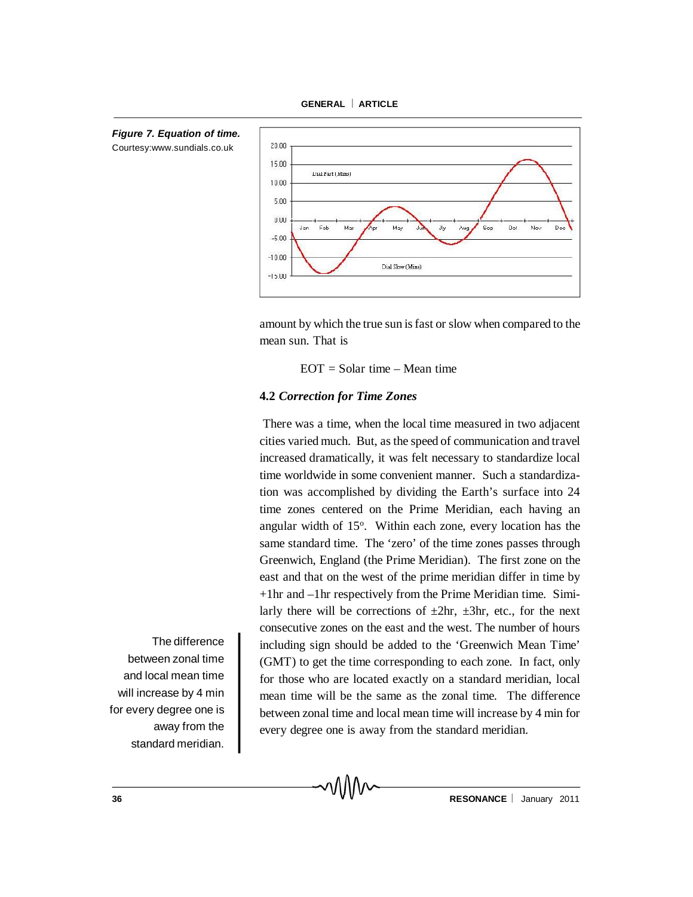



 $-15.00$ 

amount by which the true sun is fast or slow when compared to the mean sun. That is

Dial Slow (Mins)

Sep

Oot

Nov

 $EOT = Solar$  time – Mean time

## **4.2** *Correction for Time Zones*

MMv

There was a time, when the local time measured in two adjacent cities varied much. But, as the speed of communication and travel increased dramatically, it was felt necessary to standardize local time worldwide in some convenient manner. Such a standardization was accomplished by dividing the Earth's surface into 24 time zones centered on the Prime Meridian, each having an angular width of 15°. Within each zone, every location has the same standard time. The 'zero' of the time zones passes through Greenwich, England (the Prime Meridian). The first zone on the east and that on the west of the prime meridian differ in time by +1hr and –1hr respectively from the Prime Meridian time. Similarly there will be corrections of  $\pm 2$ hr,  $\pm 3$ hr, etc., for the next consecutive zones on the east and the west. The number of hours including sign should be added to the 'Greenwich Mean Time' (GMT) to get the time corresponding to each zone. In fact, only for those who are located exactly on a standard meridian, local mean time will be the same as the zonal time. The difference between zonal time and local mean time will increase by 4 min for every degree one is away from the standard meridian.

The difference between zonal time and local mean time will increase by 4 min for every degree one is away from the standard meridian.